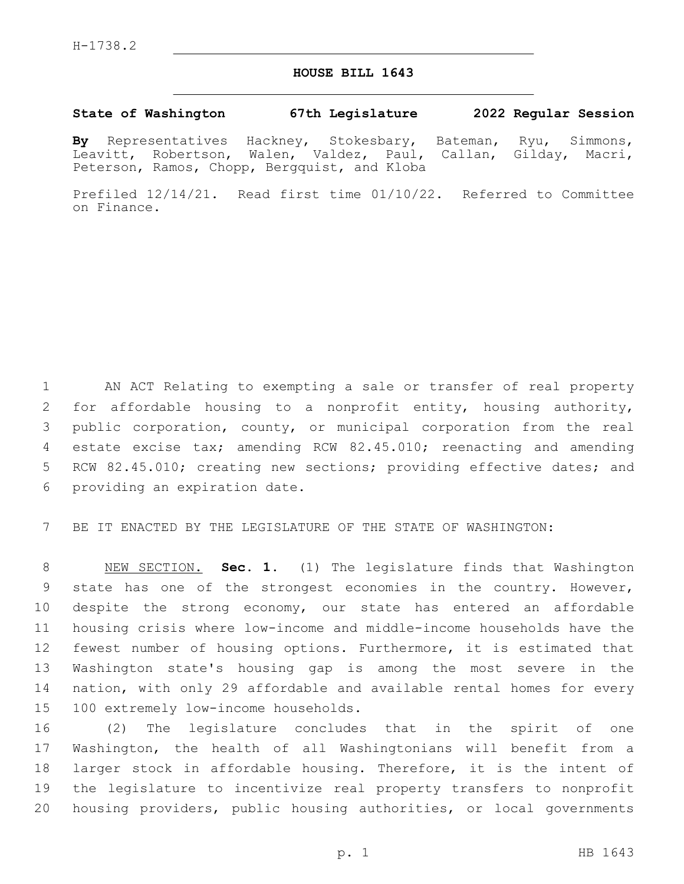## **HOUSE BILL 1643**

## **State of Washington 67th Legislature 2022 Regular Session**

**By** Representatives Hackney, Stokesbary, Bateman, Ryu, Simmons, Leavitt, Robertson, Walen, Valdez, Paul, Callan, Gilday, Macri, Peterson, Ramos, Chopp, Bergquist, and Kloba

Prefiled 12/14/21. Read first time 01/10/22. Referred to Committee on Finance.

 AN ACT Relating to exempting a sale or transfer of real property for affordable housing to a nonprofit entity, housing authority, public corporation, county, or municipal corporation from the real estate excise tax; amending RCW 82.45.010; reenacting and amending 5 RCW 82.45.010; creating new sections; providing effective dates; and 6 providing an expiration date.

BE IT ENACTED BY THE LEGISLATURE OF THE STATE OF WASHINGTON:

 NEW SECTION. **Sec. 1.** (1) The legislature finds that Washington state has one of the strongest economies in the country. However, despite the strong economy, our state has entered an affordable housing crisis where low-income and middle-income households have the fewest number of housing options. Furthermore, it is estimated that Washington state's housing gap is among the most severe in the nation, with only 29 affordable and available rental homes for every 100 extremely low-income households.

 (2) The legislature concludes that in the spirit of one Washington, the health of all Washingtonians will benefit from a larger stock in affordable housing. Therefore, it is the intent of the legislature to incentivize real property transfers to nonprofit housing providers, public housing authorities, or local governments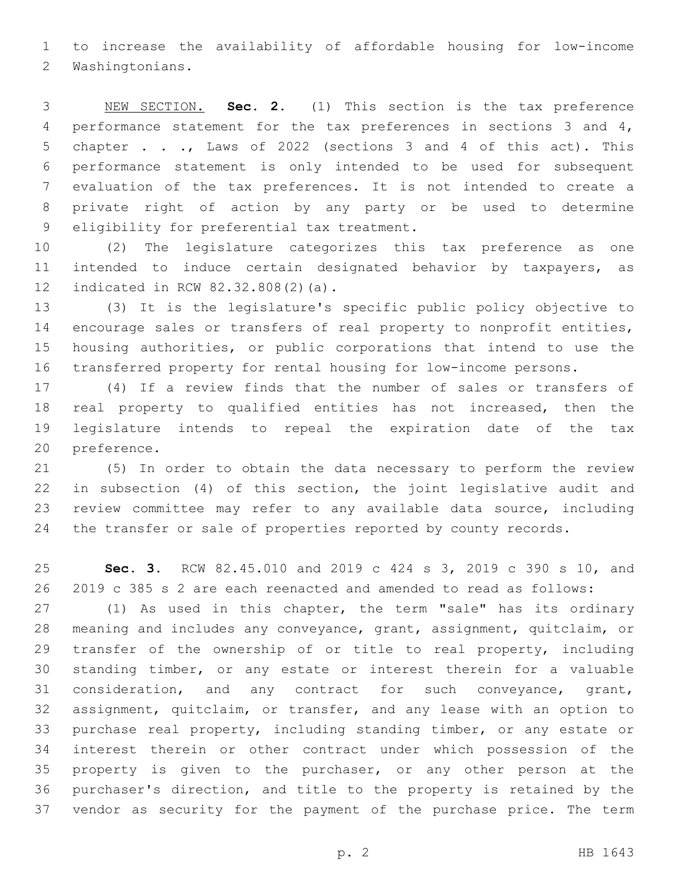to increase the availability of affordable housing for low-income 2 Washingtonians.

 NEW SECTION. **Sec. 2.** (1) This section is the tax preference performance statement for the tax preferences in sections 3 and 4, chapter . . ., Laws of 2022 (sections 3 and 4 of this act). This performance statement is only intended to be used for subsequent evaluation of the tax preferences. It is not intended to create a private right of action by any party or be used to determine eligibility for preferential tax treatment.

 (2) The legislature categorizes this tax preference as one intended to induce certain designated behavior by taxpayers, as 12 indicated in RCW 82.32.808(2)(a).

 (3) It is the legislature's specific public policy objective to encourage sales or transfers of real property to nonprofit entities, housing authorities, or public corporations that intend to use the transferred property for rental housing for low-income persons.

 (4) If a review finds that the number of sales or transfers of real property to qualified entities has not increased, then the legislature intends to repeal the expiration date of the tax 20 preference.

 (5) In order to obtain the data necessary to perform the review in subsection (4) of this section, the joint legislative audit and review committee may refer to any available data source, including the transfer or sale of properties reported by county records.

 **Sec. 3.** RCW 82.45.010 and 2019 c 424 s 3, 2019 c 390 s 10, and 2019 c 385 s 2 are each reenacted and amended to read as follows:

 (1) As used in this chapter, the term "sale" has its ordinary meaning and includes any conveyance, grant, assignment, quitclaim, or 29 transfer of the ownership of or title to real property, including standing timber, or any estate or interest therein for a valuable consideration, and any contract for such conveyance, grant, assignment, quitclaim, or transfer, and any lease with an option to purchase real property, including standing timber, or any estate or interest therein or other contract under which possession of the property is given to the purchaser, or any other person at the purchaser's direction, and title to the property is retained by the vendor as security for the payment of the purchase price. The term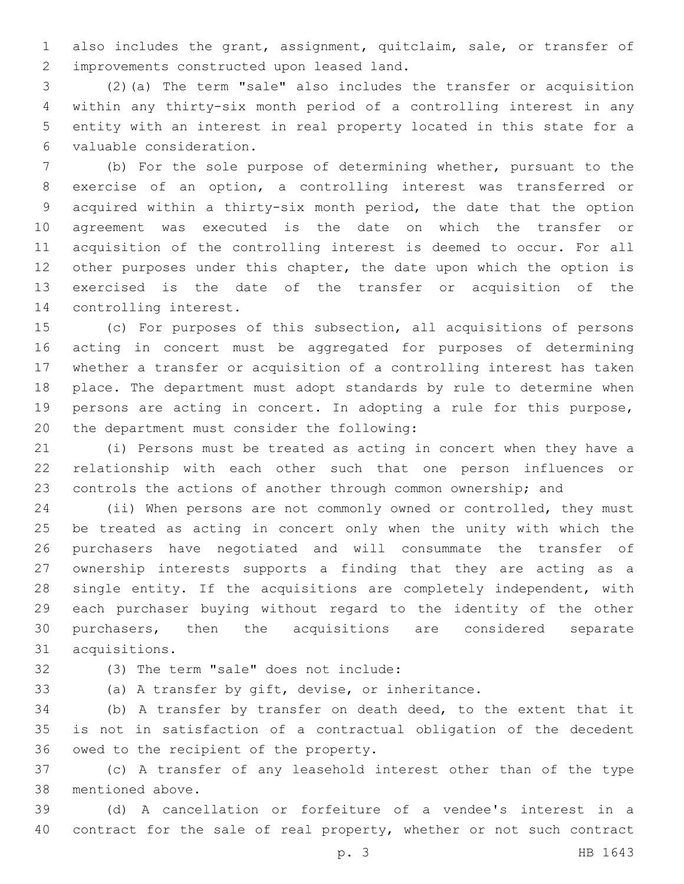also includes the grant, assignment, quitclaim, sale, or transfer of 2 improvements constructed upon leased land.

 (2)(a) The term "sale" also includes the transfer or acquisition within any thirty-six month period of a controlling interest in any entity with an interest in real property located in this state for a valuable consideration.6

 (b) For the sole purpose of determining whether, pursuant to the exercise of an option, a controlling interest was transferred or acquired within a thirty-six month period, the date that the option agreement was executed is the date on which the transfer or acquisition of the controlling interest is deemed to occur. For all 12 other purposes under this chapter, the date upon which the option is exercised is the date of the transfer or acquisition of the 14 controlling interest.

 (c) For purposes of this subsection, all acquisitions of persons acting in concert must be aggregated for purposes of determining whether a transfer or acquisition of a controlling interest has taken place. The department must adopt standards by rule to determine when persons are acting in concert. In adopting a rule for this purpose, 20 the department must consider the following:

 (i) Persons must be treated as acting in concert when they have a relationship with each other such that one person influences or controls the actions of another through common ownership; and

 (ii) When persons are not commonly owned or controlled, they must be treated as acting in concert only when the unity with which the purchasers have negotiated and will consummate the transfer of ownership interests supports a finding that they are acting as a single entity. If the acquisitions are completely independent, with each purchaser buying without regard to the identity of the other purchasers, then the acquisitions are considered separate acquisitions.31

(3) The term "sale" does not include:32

(a) A transfer by gift, devise, or inheritance.

 (b) A transfer by transfer on death deed, to the extent that it is not in satisfaction of a contractual obligation of the decedent 36 owed to the recipient of the property.

 (c) A transfer of any leasehold interest other than of the type 38 mentioned above.

 (d) A cancellation or forfeiture of a vendee's interest in a contract for the sale of real property, whether or not such contract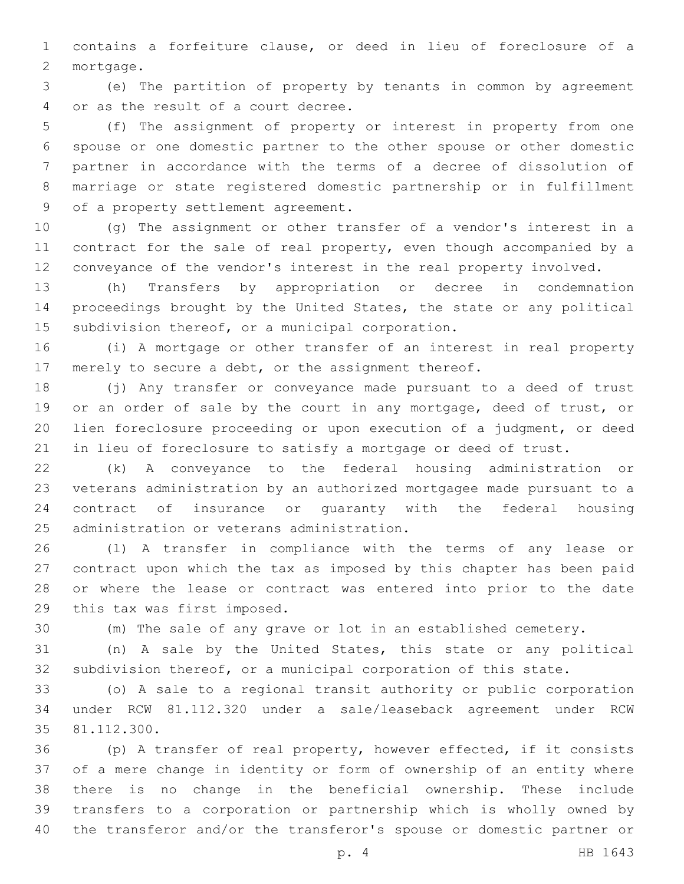contains a forfeiture clause, or deed in lieu of foreclosure of a 2 mortgage.

 (e) The partition of property by tenants in common by agreement 4 or as the result of a court decree.

 (f) The assignment of property or interest in property from one spouse or one domestic partner to the other spouse or other domestic partner in accordance with the terms of a decree of dissolution of marriage or state registered domestic partnership or in fulfillment 9 of a property settlement agreement.

 (g) The assignment or other transfer of a vendor's interest in a contract for the sale of real property, even though accompanied by a conveyance of the vendor's interest in the real property involved.

 (h) Transfers by appropriation or decree in condemnation proceedings brought by the United States, the state or any political 15 subdivision thereof, or a municipal corporation.

 (i) A mortgage or other transfer of an interest in real property merely to secure a debt, or the assignment thereof.

 (j) Any transfer or conveyance made pursuant to a deed of trust 19 or an order of sale by the court in any mortgage, deed of trust, or lien foreclosure proceeding or upon execution of a judgment, or deed in lieu of foreclosure to satisfy a mortgage or deed of trust.

 (k) A conveyance to the federal housing administration or veterans administration by an authorized mortgagee made pursuant to a contract of insurance or guaranty with the federal housing 25 administration or veterans administration.

 (l) A transfer in compliance with the terms of any lease or contract upon which the tax as imposed by this chapter has been paid or where the lease or contract was entered into prior to the date 29 this tax was first imposed.

(m) The sale of any grave or lot in an established cemetery.

 (n) A sale by the United States, this state or any political subdivision thereof, or a municipal corporation of this state.

 (o) A sale to a regional transit authority or public corporation under RCW 81.112.320 under a sale/leaseback agreement under RCW 35 81.112.300.

 (p) A transfer of real property, however effected, if it consists of a mere change in identity or form of ownership of an entity where there is no change in the beneficial ownership. These include transfers to a corporation or partnership which is wholly owned by the transferor and/or the transferor's spouse or domestic partner or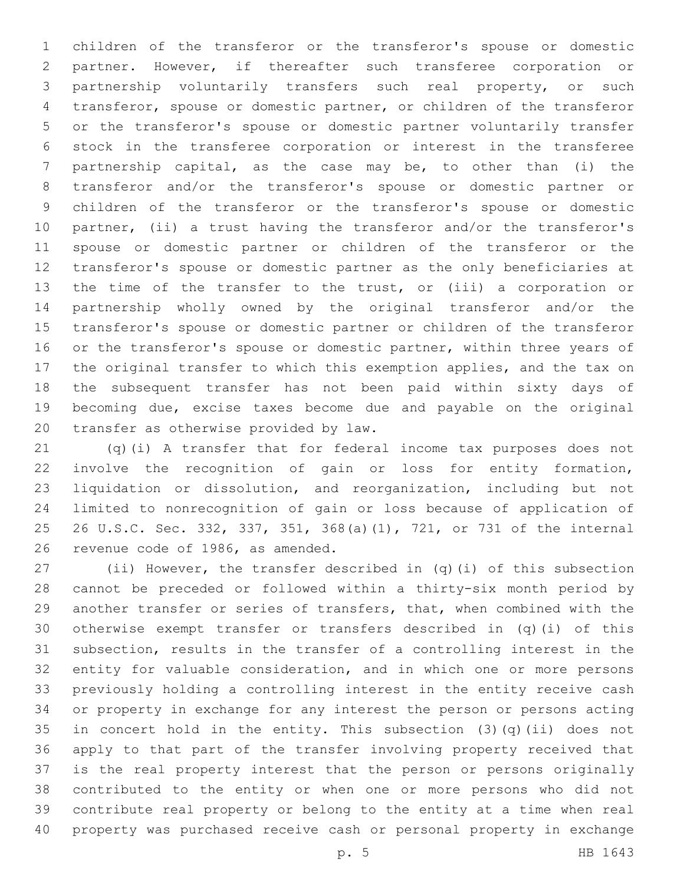children of the transferor or the transferor's spouse or domestic partner. However, if thereafter such transferee corporation or partnership voluntarily transfers such real property, or such transferor, spouse or domestic partner, or children of the transferor or the transferor's spouse or domestic partner voluntarily transfer stock in the transferee corporation or interest in the transferee partnership capital, as the case may be, to other than (i) the transferor and/or the transferor's spouse or domestic partner or children of the transferor or the transferor's spouse or domestic partner, (ii) a trust having the transferor and/or the transferor's spouse or domestic partner or children of the transferor or the transferor's spouse or domestic partner as the only beneficiaries at the time of the transfer to the trust, or (iii) a corporation or partnership wholly owned by the original transferor and/or the transferor's spouse or domestic partner or children of the transferor 16 or the transferor's spouse or domestic partner, within three years of the original transfer to which this exemption applies, and the tax on the subsequent transfer has not been paid within sixty days of becoming due, excise taxes become due and payable on the original 20 transfer as otherwise provided by law.

 (q)(i) A transfer that for federal income tax purposes does not involve the recognition of gain or loss for entity formation, liquidation or dissolution, and reorganization, including but not limited to nonrecognition of gain or loss because of application of 26 U.S.C. Sec. 332, 337, 351, 368(a)(1), 721, or 731 of the internal 26 revenue code of 1986, as amended.

 (ii) However, the transfer described in (q)(i) of this subsection cannot be preceded or followed within a thirty-six month period by another transfer or series of transfers, that, when combined with the otherwise exempt transfer or transfers described in (q)(i) of this subsection, results in the transfer of a controlling interest in the entity for valuable consideration, and in which one or more persons previously holding a controlling interest in the entity receive cash or property in exchange for any interest the person or persons acting in concert hold in the entity. This subsection (3)(q)(ii) does not apply to that part of the transfer involving property received that is the real property interest that the person or persons originally contributed to the entity or when one or more persons who did not contribute real property or belong to the entity at a time when real property was purchased receive cash or personal property in exchange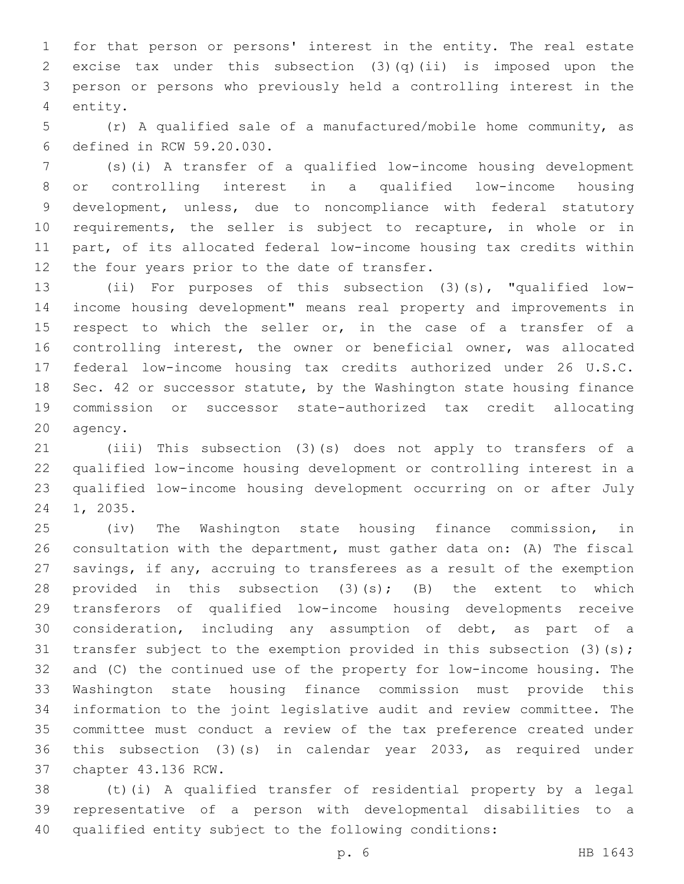for that person or persons' interest in the entity. The real estate excise tax under this subsection (3)(q)(ii) is imposed upon the person or persons who previously held a controlling interest in the 4 entity.

 (r) A qualified sale of a manufactured/mobile home community, as 6 defined in RCW 59.20.030.

 (s)(i) A transfer of a qualified low-income housing development or controlling interest in a qualified low-income housing development, unless, due to noncompliance with federal statutory requirements, the seller is subject to recapture, in whole or in part, of its allocated federal low-income housing tax credits within 12 the four years prior to the date of transfer.

 (ii) For purposes of this subsection (3)(s), "qualified low- income housing development" means real property and improvements in 15 respect to which the seller or, in the case of a transfer of a controlling interest, the owner or beneficial owner, was allocated federal low-income housing tax credits authorized under 26 U.S.C. Sec. 42 or successor statute, by the Washington state housing finance commission or successor state-authorized tax credit allocating 20 agency.

 (iii) This subsection (3)(s) does not apply to transfers of a qualified low-income housing development or controlling interest in a qualified low-income housing development occurring on or after July 24 1, 2035.

 (iv) The Washington state housing finance commission, in consultation with the department, must gather data on: (A) The fiscal savings, if any, accruing to transferees as a result of the exemption 28 provided in this subsection  $(3)(s)$ ;  $(B)$  the extent to which transferors of qualified low-income housing developments receive consideration, including any assumption of debt, as part of a 31 transfer subject to the exemption provided in this subsection (3)(s); and (C) the continued use of the property for low-income housing. The Washington state housing finance commission must provide this information to the joint legislative audit and review committee. The committee must conduct a review of the tax preference created under this subsection (3)(s) in calendar year 2033, as required under 37 chapter 43.136 RCW.

 (t)(i) A qualified transfer of residential property by a legal representative of a person with developmental disabilities to a qualified entity subject to the following conditions: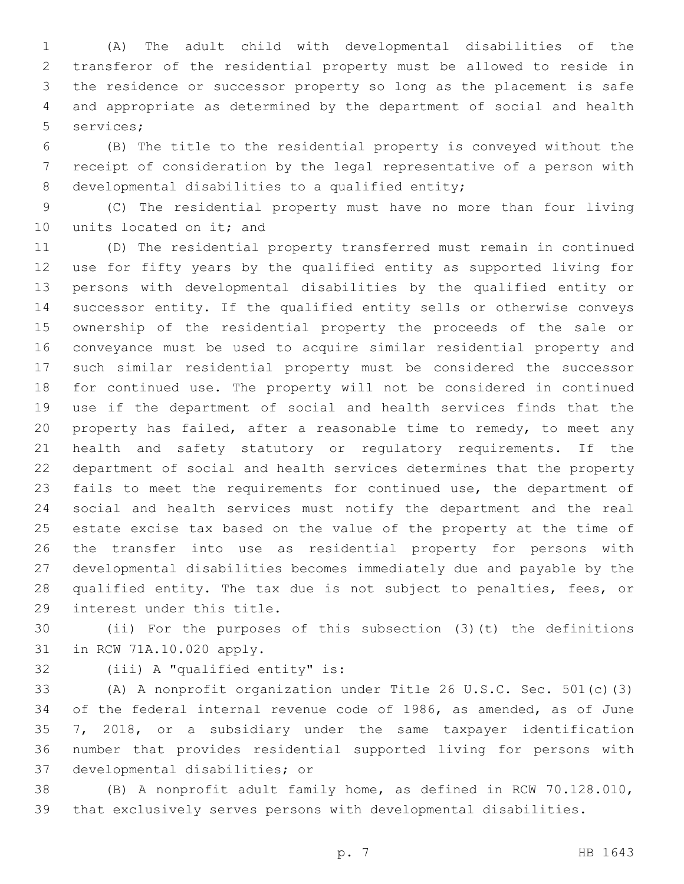(A) The adult child with developmental disabilities of the transferor of the residential property must be allowed to reside in the residence or successor property so long as the placement is safe and appropriate as determined by the department of social and health 5 services;

 (B) The title to the residential property is conveyed without the receipt of consideration by the legal representative of a person with 8 developmental disabilities to a qualified entity;

 (C) The residential property must have no more than four living 10 units located on it; and

 (D) The residential property transferred must remain in continued use for fifty years by the qualified entity as supported living for persons with developmental disabilities by the qualified entity or successor entity. If the qualified entity sells or otherwise conveys ownership of the residential property the proceeds of the sale or conveyance must be used to acquire similar residential property and such similar residential property must be considered the successor for continued use. The property will not be considered in continued use if the department of social and health services finds that the property has failed, after a reasonable time to remedy, to meet any health and safety statutory or regulatory requirements. If the department of social and health services determines that the property fails to meet the requirements for continued use, the department of social and health services must notify the department and the real estate excise tax based on the value of the property at the time of the transfer into use as residential property for persons with developmental disabilities becomes immediately due and payable by the qualified entity. The tax due is not subject to penalties, fees, or 29 interest under this title.

 (ii) For the purposes of this subsection (3)(t) the definitions 31 in RCW 71A.10.020 apply.

32 (iii) A "qualified entity" is:

 (A) A nonprofit organization under Title 26 U.S.C. Sec. 501(c)(3) of the federal internal revenue code of 1986, as amended, as of June 7, 2018, or a subsidiary under the same taxpayer identification number that provides residential supported living for persons with 37 developmental disabilities; or

 (B) A nonprofit adult family home, as defined in RCW 70.128.010, that exclusively serves persons with developmental disabilities.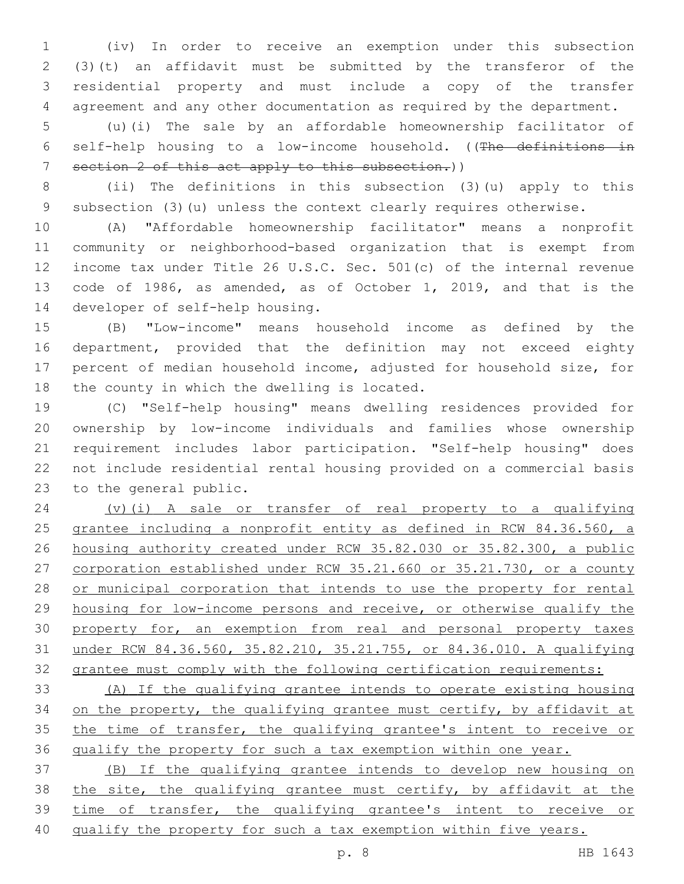(iv) In order to receive an exemption under this subsection (3)(t) an affidavit must be submitted by the transferor of the residential property and must include a copy of the transfer agreement and any other documentation as required by the department.

 (u)(i) The sale by an affordable homeownership facilitator of self-help housing to a low-income household. ((The definitions in section 2 of this act apply to this subsection.))

 (ii) The definitions in this subsection (3)(u) apply to this subsection (3)(u) unless the context clearly requires otherwise.

 (A) "Affordable homeownership facilitator" means a nonprofit community or neighborhood-based organization that is exempt from income tax under Title 26 U.S.C. Sec. 501(c) of the internal revenue code of 1986, as amended, as of October 1, 2019, and that is the 14 developer of self-help housing.

 (B) "Low-income" means household income as defined by the department, provided that the definition may not exceed eighty percent of median household income, adjusted for household size, for 18 the county in which the dwelling is located.

 (C) "Self-help housing" means dwelling residences provided for ownership by low-income individuals and families whose ownership requirement includes labor participation. "Self-help housing" does not include residential rental housing provided on a commercial basis 23 to the general public.

 (v)(i) A sale or transfer of real property to a qualifying 25 grantee including a nonprofit entity as defined in RCW 84.36.560, a housing authority created under RCW 35.82.030 or 35.82.300, a public corporation established under RCW 35.21.660 or 35.21.730, or a county or municipal corporation that intends to use the property for rental housing for low-income persons and receive, or otherwise qualify the 30 property for, an exemption from real and personal property taxes under RCW 84.36.560, 35.82.210, 35.21.755, or 84.36.010. A qualifying grantee must comply with the following certification requirements:

 (A) If the qualifying grantee intends to operate existing housing 34 on the property, the qualifying grantee must certify, by affidavit at the time of transfer, the qualifying grantee's intent to receive or qualify the property for such a tax exemption within one year.

 (B) If the qualifying grantee intends to develop new housing on the site, the qualifying grantee must certify, by affidavit at the time of transfer, the qualifying grantee's intent to receive or 40 qualify the property for such a tax exemption within five years.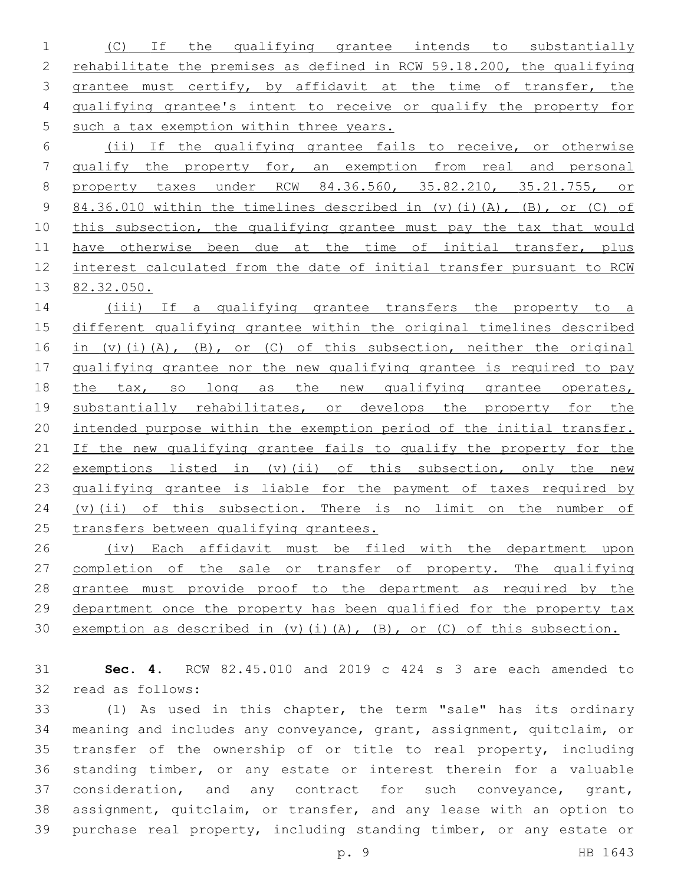(C) If the qualifying grantee intends to substantially rehabilitate the premises as defined in RCW 59.18.200, the qualifying grantee must certify, by affidavit at the time of transfer, the qualifying grantee's intent to receive or qualify the property for 5 such a tax exemption within three years.

 (ii) If the qualifying grantee fails to receive, or otherwise qualify the property for, an exemption from real and personal property taxes under RCW 84.36.560, 35.82.210, 35.21.755, or 84.36.010 within the timelines described in (v)(i)(A), (B), or (C) of 10 this subsection, the qualifying grantee must pay the tax that would 11 have otherwise been due at the time of initial transfer, plus interest calculated from the date of initial transfer pursuant to RCW 82.32.050.

14 (iii) If a qualifying grantee transfers the property to a 15 different qualifying grantee within the original timelines described 16 in (v)(i)(A), (B), or (C) of this subsection, neither the original 17 qualifying grantee nor the new qualifying grantee is required to pay 18 the tax, so long as the new qualifying grantee operates, 19 substantially rehabilitates, or develops the property for the 20 intended purpose within the exemption period of the initial transfer. 21 If the new qualifying grantee fails to qualify the property for the 22 exemptions listed in (v)(ii) of this subsection, only the new 23 qualifying grantee is liable for the payment of taxes required by 24 (v)(ii) of this subsection. There is no limit on the number of 25 transfers between qualifying grantees.

26 (iv) Each affidavit must be filed with the department upon 27 completion of the sale or transfer of property. The qualifying 28 grantee must provide proof to the department as required by the 29 department once the property has been qualified for the property tax 30 exemption as described in (v)(i)(A), (B), or (C) of this subsection.

31 **Sec. 4.** RCW 82.45.010 and 2019 c 424 s 3 are each amended to 32 read as follows:

 (1) As used in this chapter, the term "sale" has its ordinary meaning and includes any conveyance, grant, assignment, quitclaim, or transfer of the ownership of or title to real property, including standing timber, or any estate or interest therein for a valuable 37 consideration, and any contract for such conveyance, grant, assignment, quitclaim, or transfer, and any lease with an option to purchase real property, including standing timber, or any estate or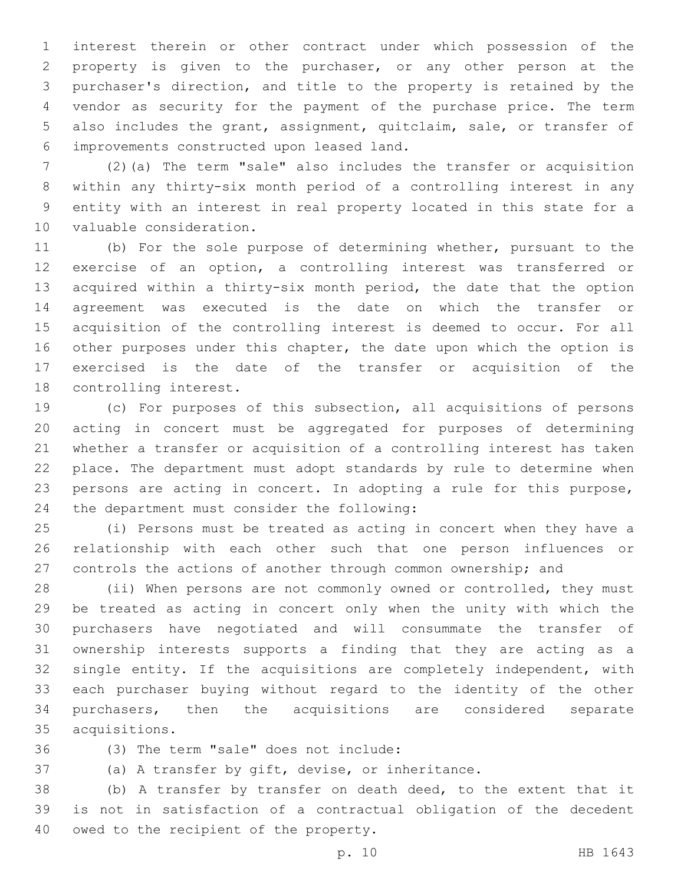interest therein or other contract under which possession of the property is given to the purchaser, or any other person at the purchaser's direction, and title to the property is retained by the vendor as security for the payment of the purchase price. The term also includes the grant, assignment, quitclaim, sale, or transfer of improvements constructed upon leased land.6

 (2)(a) The term "sale" also includes the transfer or acquisition within any thirty-six month period of a controlling interest in any entity with an interest in real property located in this state for a 10 valuable consideration.

 (b) For the sole purpose of determining whether, pursuant to the exercise of an option, a controlling interest was transferred or acquired within a thirty-six month period, the date that the option agreement was executed is the date on which the transfer or acquisition of the controlling interest is deemed to occur. For all other purposes under this chapter, the date upon which the option is exercised is the date of the transfer or acquisition of the 18 controlling interest.

 (c) For purposes of this subsection, all acquisitions of persons acting in concert must be aggregated for purposes of determining whether a transfer or acquisition of a controlling interest has taken place. The department must adopt standards by rule to determine when persons are acting in concert. In adopting a rule for this purpose, 24 the department must consider the following:

 (i) Persons must be treated as acting in concert when they have a relationship with each other such that one person influences or controls the actions of another through common ownership; and

28 (ii) When persons are not commonly owned or controlled, they must be treated as acting in concert only when the unity with which the purchasers have negotiated and will consummate the transfer of ownership interests supports a finding that they are acting as a single entity. If the acquisitions are completely independent, with each purchaser buying without regard to the identity of the other purchasers, then the acquisitions are considered separate acquisitions.35

(3) The term "sale" does not include:36

(a) A transfer by gift, devise, or inheritance.

 (b) A transfer by transfer on death deed, to the extent that it is not in satisfaction of a contractual obligation of the decedent 40 owed to the recipient of the property.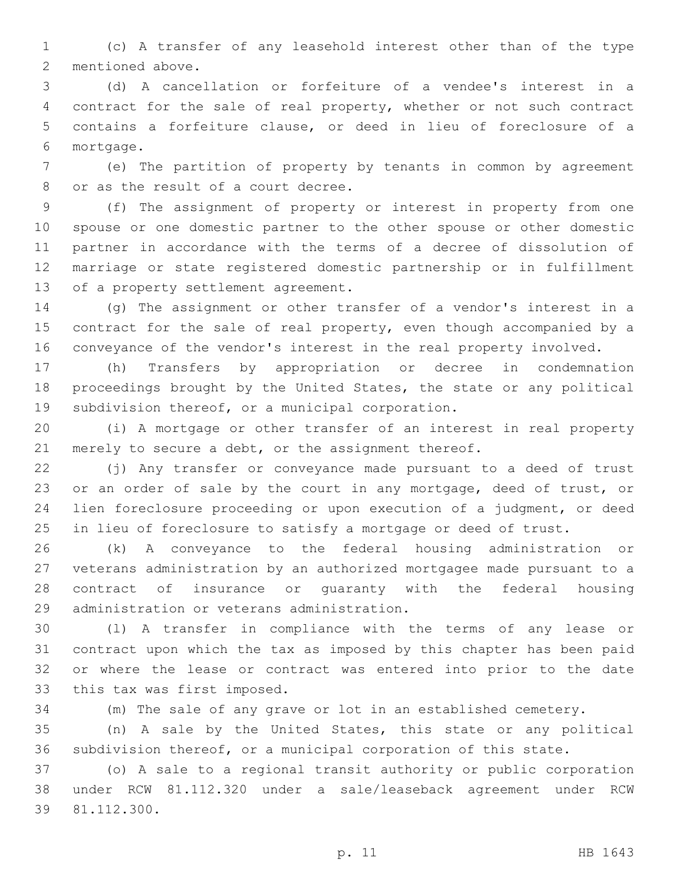(c) A transfer of any leasehold interest other than of the type 2 mentioned above.

 (d) A cancellation or forfeiture of a vendee's interest in a contract for the sale of real property, whether or not such contract contains a forfeiture clause, or deed in lieu of foreclosure of a mortgage.6

 (e) The partition of property by tenants in common by agreement 8 or as the result of a court decree.

 (f) The assignment of property or interest in property from one spouse or one domestic partner to the other spouse or other domestic partner in accordance with the terms of a decree of dissolution of marriage or state registered domestic partnership or in fulfillment 13 of a property settlement agreement.

 (g) The assignment or other transfer of a vendor's interest in a contract for the sale of real property, even though accompanied by a conveyance of the vendor's interest in the real property involved.

 (h) Transfers by appropriation or decree in condemnation proceedings brought by the United States, the state or any political 19 subdivision thereof, or a municipal corporation.

 (i) A mortgage or other transfer of an interest in real property 21 merely to secure a debt, or the assignment thereof.

 (j) Any transfer or conveyance made pursuant to a deed of trust 23 or an order of sale by the court in any mortgage, deed of trust, or lien foreclosure proceeding or upon execution of a judgment, or deed in lieu of foreclosure to satisfy a mortgage or deed of trust.

 (k) A conveyance to the federal housing administration or veterans administration by an authorized mortgagee made pursuant to a contract of insurance or guaranty with the federal housing 29 administration or veterans administration.

 (l) A transfer in compliance with the terms of any lease or contract upon which the tax as imposed by this chapter has been paid or where the lease or contract was entered into prior to the date 33 this tax was first imposed.

(m) The sale of any grave or lot in an established cemetery.

 (n) A sale by the United States, this state or any political subdivision thereof, or a municipal corporation of this state.

 (o) A sale to a regional transit authority or public corporation under RCW 81.112.320 under a sale/leaseback agreement under RCW 39 81.112.300.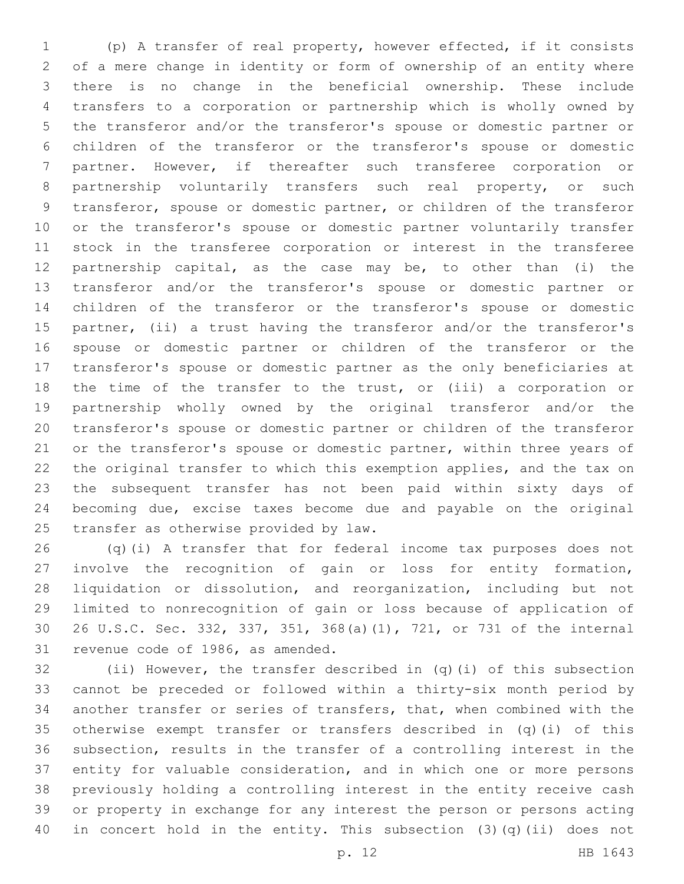(p) A transfer of real property, however effected, if it consists of a mere change in identity or form of ownership of an entity where there is no change in the beneficial ownership. These include transfers to a corporation or partnership which is wholly owned by the transferor and/or the transferor's spouse or domestic partner or children of the transferor or the transferor's spouse or domestic partner. However, if thereafter such transferee corporation or partnership voluntarily transfers such real property, or such transferor, spouse or domestic partner, or children of the transferor or the transferor's spouse or domestic partner voluntarily transfer stock in the transferee corporation or interest in the transferee partnership capital, as the case may be, to other than (i) the transferor and/or the transferor's spouse or domestic partner or children of the transferor or the transferor's spouse or domestic partner, (ii) a trust having the transferor and/or the transferor's spouse or domestic partner or children of the transferor or the transferor's spouse or domestic partner as the only beneficiaries at the time of the transfer to the trust, or (iii) a corporation or partnership wholly owned by the original transferor and/or the transferor's spouse or domestic partner or children of the transferor 21 or the transferor's spouse or domestic partner, within three years of the original transfer to which this exemption applies, and the tax on the subsequent transfer has not been paid within sixty days of becoming due, excise taxes become due and payable on the original 25 transfer as otherwise provided by law.

 (q)(i) A transfer that for federal income tax purposes does not involve the recognition of gain or loss for entity formation, liquidation or dissolution, and reorganization, including but not limited to nonrecognition of gain or loss because of application of 26 U.S.C. Sec. 332, 337, 351, 368(a)(1), 721, or 731 of the internal 31 revenue code of 1986, as amended.

 (ii) However, the transfer described in (q)(i) of this subsection cannot be preceded or followed within a thirty-six month period by another transfer or series of transfers, that, when combined with the otherwise exempt transfer or transfers described in (q)(i) of this subsection, results in the transfer of a controlling interest in the entity for valuable consideration, and in which one or more persons previously holding a controlling interest in the entity receive cash or property in exchange for any interest the person or persons acting in concert hold in the entity. This subsection (3)(q)(ii) does not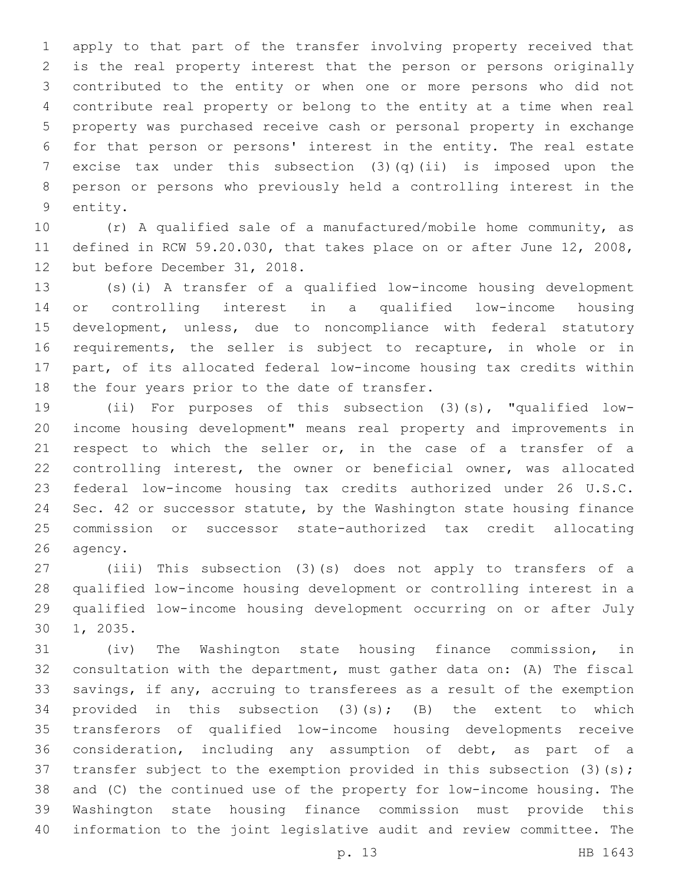apply to that part of the transfer involving property received that is the real property interest that the person or persons originally contributed to the entity or when one or more persons who did not contribute real property or belong to the entity at a time when real property was purchased receive cash or personal property in exchange for that person or persons' interest in the entity. The real estate excise tax under this subsection (3)(q)(ii) is imposed upon the person or persons who previously held a controlling interest in the 9 entity.

 (r) A qualified sale of a manufactured/mobile home community, as defined in RCW 59.20.030, that takes place on or after June 12, 2008, 12 but before December 31, 2018.

 (s)(i) A transfer of a qualified low-income housing development or controlling interest in a qualified low-income housing development, unless, due to noncompliance with federal statutory requirements, the seller is subject to recapture, in whole or in part, of its allocated federal low-income housing tax credits within 18 the four years prior to the date of transfer.

 (ii) For purposes of this subsection (3)(s), "qualified low- income housing development" means real property and improvements in respect to which the seller or, in the case of a transfer of a controlling interest, the owner or beneficial owner, was allocated federal low-income housing tax credits authorized under 26 U.S.C. Sec. 42 or successor statute, by the Washington state housing finance commission or successor state-authorized tax credit allocating 26 agency.

 (iii) This subsection (3)(s) does not apply to transfers of a qualified low-income housing development or controlling interest in a qualified low-income housing development occurring on or after July 30 1, 2035.

 (iv) The Washington state housing finance commission, in consultation with the department, must gather data on: (A) The fiscal savings, if any, accruing to transferees as a result of the exemption provided in this subsection (3)(s); (B) the extent to which transferors of qualified low-income housing developments receive consideration, including any assumption of debt, as part of a 37 transfer subject to the exemption provided in this subsection (3)(s); and (C) the continued use of the property for low-income housing. The Washington state housing finance commission must provide this information to the joint legislative audit and review committee. The

p. 13 HB 1643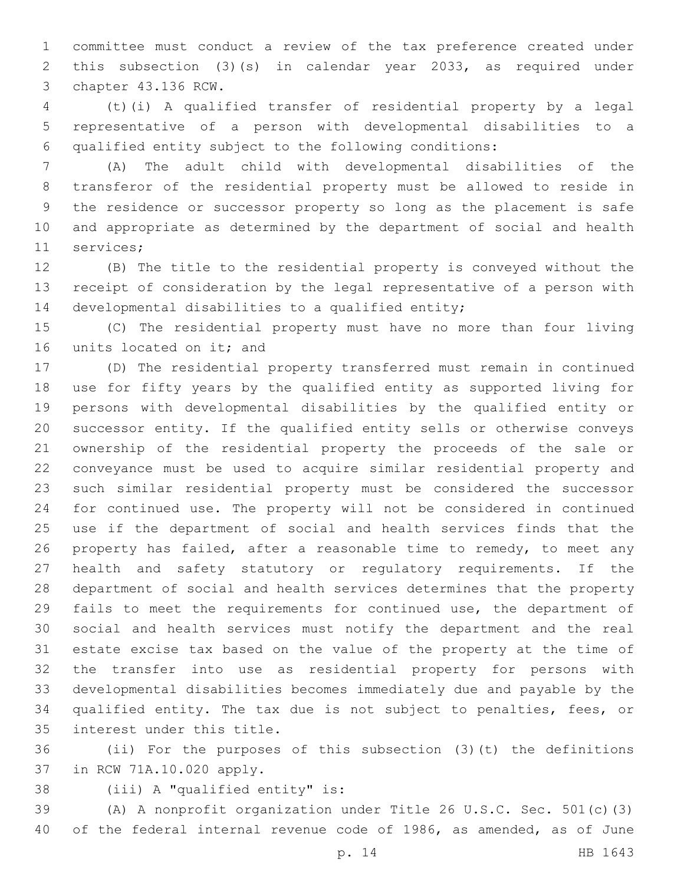committee must conduct a review of the tax preference created under this subsection (3)(s) in calendar year 2033, as required under 3 chapter 43.136 RCW.

 (t)(i) A qualified transfer of residential property by a legal representative of a person with developmental disabilities to a qualified entity subject to the following conditions:

 (A) The adult child with developmental disabilities of the transferor of the residential property must be allowed to reside in the residence or successor property so long as the placement is safe and appropriate as determined by the department of social and health 11 services;

 (B) The title to the residential property is conveyed without the receipt of consideration by the legal representative of a person with 14 developmental disabilities to a qualified entity;

 (C) The residential property must have no more than four living 16 units located on it; and

 (D) The residential property transferred must remain in continued use for fifty years by the qualified entity as supported living for persons with developmental disabilities by the qualified entity or successor entity. If the qualified entity sells or otherwise conveys ownership of the residential property the proceeds of the sale or conveyance must be used to acquire similar residential property and such similar residential property must be considered the successor for continued use. The property will not be considered in continued use if the department of social and health services finds that the property has failed, after a reasonable time to remedy, to meet any health and safety statutory or regulatory requirements. If the department of social and health services determines that the property fails to meet the requirements for continued use, the department of social and health services must notify the department and the real estate excise tax based on the value of the property at the time of the transfer into use as residential property for persons with developmental disabilities becomes immediately due and payable by the qualified entity. The tax due is not subject to penalties, fees, or 35 interest under this title.

 (ii) For the purposes of this subsection (3)(t) the definitions 37 in RCW 71A.10.020 apply.

38 (iii) A "qualified entity" is:

 (A) A nonprofit organization under Title 26 U.S.C. Sec. 501(c)(3) of the federal internal revenue code of 1986, as amended, as of June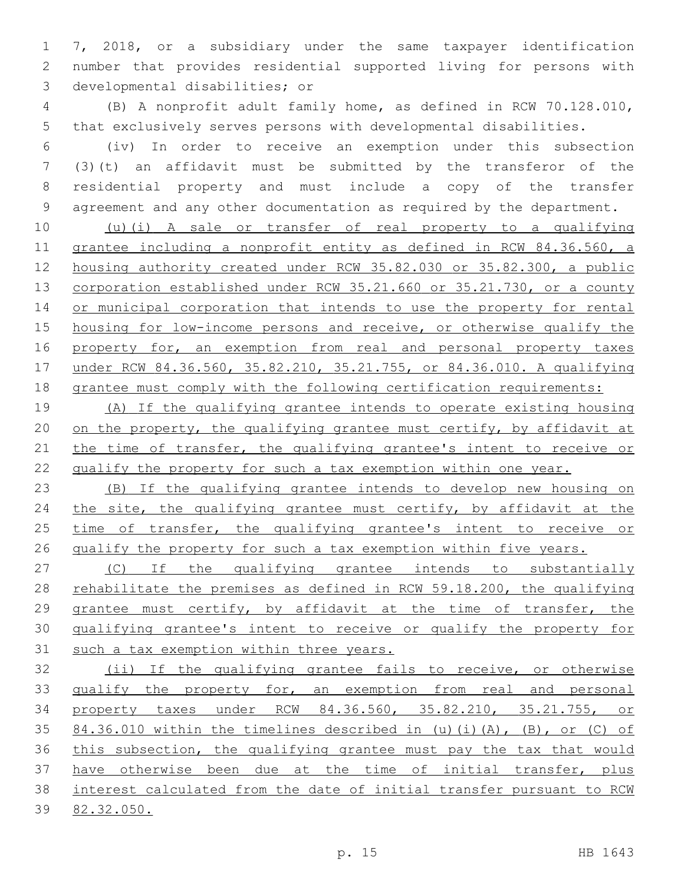7, 2018, or a subsidiary under the same taxpayer identification number that provides residential supported living for persons with 3 developmental disabilities; or

 (B) A nonprofit adult family home, as defined in RCW 70.128.010, that exclusively serves persons with developmental disabilities.

 (iv) In order to receive an exemption under this subsection (3)(t) an affidavit must be submitted by the transferor of the residential property and must include a copy of the transfer agreement and any other documentation as required by the department.

 (u)(i) A sale or transfer of real property to a qualifying grantee including a nonprofit entity as defined in RCW 84.36.560, a housing authority created under RCW 35.82.030 or 35.82.300, a public corporation established under RCW 35.21.660 or 35.21.730, or a county 14 or municipal corporation that intends to use the property for rental housing for low-income persons and receive, or otherwise qualify the 16 property for, an exemption from real and personal property taxes under RCW 84.36.560, 35.82.210, 35.21.755, or 84.36.010. A qualifying grantee must comply with the following certification requirements:

 (A) If the qualifying grantee intends to operate existing housing 20 on the property, the qualifying grantee must certify, by affidavit at 21 the time of transfer, the qualifying grantee's intent to receive or qualify the property for such a tax exemption within one year.

 (B) If the qualifying grantee intends to develop new housing on 24 the site, the qualifying grantee must certify, by affidavit at the 25 time of transfer, the qualifying grantee's intent to receive or 26 qualify the property for such a tax exemption within five years.

 (C) If the qualifying grantee intends to substantially rehabilitate the premises as defined in RCW 59.18.200, the qualifying 29 grantee must certify, by affidavit at the time of transfer, the qualifying grantee's intent to receive or qualify the property for 31 such a tax exemption within three years.

 (ii) If the qualifying grantee fails to receive, or otherwise 33 qualify the property for, an exemption from real and personal property taxes under RCW 84.36.560, 35.82.210, 35.21.755, or 84.36.010 within the timelines described in (u)(i)(A), (B), or (C) of this subsection, the qualifying grantee must pay the tax that would have otherwise been due at the time of initial transfer, plus interest calculated from the date of initial transfer pursuant to RCW 82.32.050.